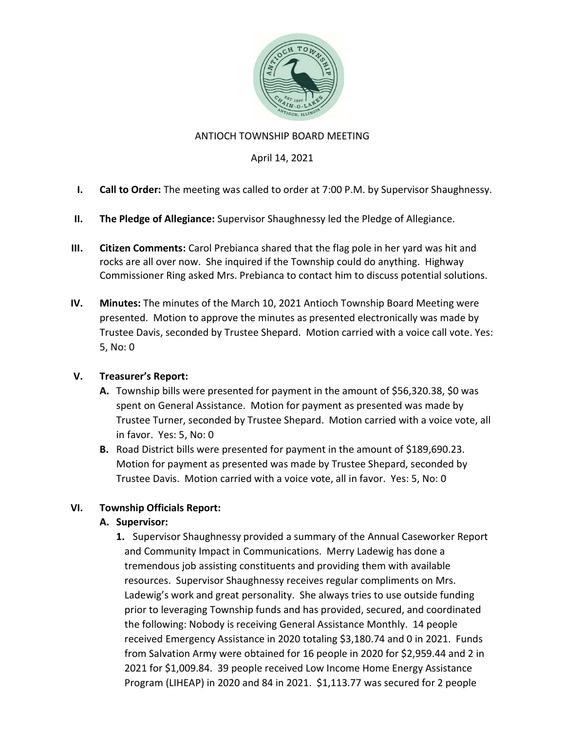

## ANTIOCH TOWNSHIP BOARD MEETING

## April 14, 2021

- I. Call to Order: The meeting was called to order at 7:00 P.M. by Supervisor Shaughnessy.
- II. The Pledge of Allegiance: Supervisor Shaughnessy led the Pledge of Allegiance.
- III. Citizen Comments: Carol Prebianca shared that the flag pole in her yard was hit and rocks are all over now. She inquired if the Township could do anything. Highway Commissioner Ring asked Mrs. Prebianca to contact him to discuss potential solutions.
- IV. Minutes: The minutes of the March 10, 2021 Antioch Township Board Meeting were presented. Motion to approve the minutes as presented electronically was made by Trustee Davis, seconded by Trustee Shepard. Motion carried with a voice call vote. Yes: 5, No: 0

## V. Treasurer's Report:

- A. Township bills were presented for payment in the amount of \$56,320.38, \$0 was spent on General Assistance. Motion for payment as presented was made by Trustee Turner, seconded by Trustee Shepard. Motion carried with a voice vote, all in favor. Yes: 5, No: 0
- B. Road District bills were presented for payment in the amount of \$189,690.23. Motion for payment as presented was made by Trustee Shepard, seconded by Trustee Davis. Motion carried with a voice vote, all in favor. Yes: 5, No: 0

# VI. Township Officials Report:

## A. Supervisor:

1. Supervisor Shaughnessy provided a summary of the Annual Caseworker Report and Community Impact in Communications. Merry Ladewig has done a tremendous job assisting constituents and providing them with available resources. Supervisor Shaughnessy receives regular compliments on Mrs. Ladewig's work and great personality. She always tries to use outside funding prior to leveraging Township funds and has provided, secured, and coordinated the following: Nobody is receiving General Assistance Monthly. 14 people received Emergency Assistance in 2020 totaling \$3,180.74 and 0 in 2021. Funds from Salvation Army were obtained for 16 people in 2020 for \$2,959.44 and 2 in 2021 for \$1,009.84. 39 people received Low Income Home Energy Assistance Program (LIHEAP) in 2020 and 84 in 2021. \$1,113.77 was secured for 2 people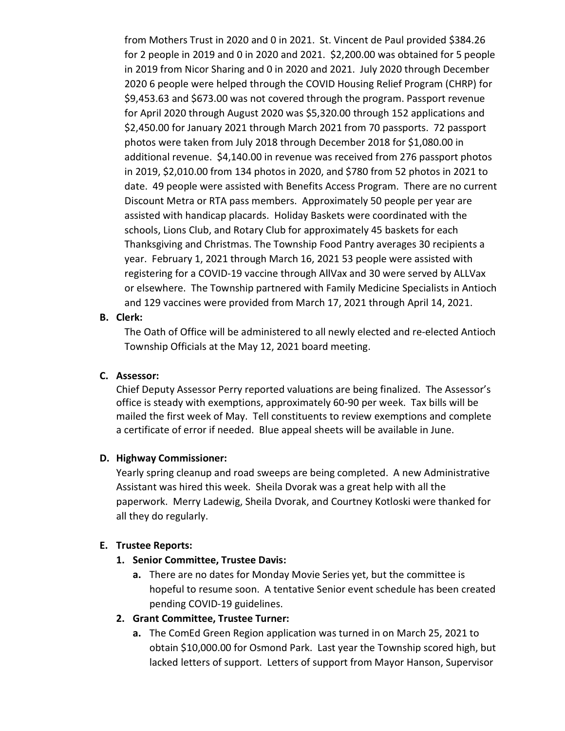from Mothers Trust in 2020 and 0 in 2021. St. Vincent de Paul provided \$384.26 for 2 people in 2019 and 0 in 2020 and 2021. \$2,200.00 was obtained for 5 people in 2019 from Nicor Sharing and 0 in 2020 and 2021. July 2020 through December 2020 6 people were helped through the COVID Housing Relief Program (CHRP) for \$9,453.63 and \$673.00 was not covered through the program. Passport revenue for April 2020 through August 2020 was \$5,320.00 through 152 applications and \$2,450.00 for January 2021 through March 2021 from 70 passports. 72 passport photos were taken from July 2018 through December 2018 for \$1,080.00 in additional revenue. \$4,140.00 in revenue was received from 276 passport photos in 2019, \$2,010.00 from 134 photos in 2020, and \$780 from 52 photos in 2021 to date. 49 people were assisted with Benefits Access Program. There are no current Discount Metra or RTA pass members. Approximately 50 people per year are assisted with handicap placards. Holiday Baskets were coordinated with the schools, Lions Club, and Rotary Club for approximately 45 baskets for each Thanksgiving and Christmas. The Township Food Pantry averages 30 recipients a year. February 1, 2021 through March 16, 2021 53 people were assisted with registering for a COVID-19 vaccine through AllVax and 30 were served by ALLVax or elsewhere. The Township partnered with Family Medicine Specialists in Antioch and 129 vaccines were provided from March 17, 2021 through April 14, 2021.

#### B. Clerk:

The Oath of Office will be administered to all newly elected and re-elected Antioch Township Officials at the May 12, 2021 board meeting.

#### C. Assessor:

Chief Deputy Assessor Perry reported valuations are being finalized. The Assessor's office is steady with exemptions, approximately 60-90 per week. Tax bills will be mailed the first week of May. Tell constituents to review exemptions and complete a certificate of error if needed. Blue appeal sheets will be available in June.

#### D. Highway Commissioner:

Yearly spring cleanup and road sweeps are being completed. A new Administrative Assistant was hired this week. Sheila Dvorak was a great help with all the paperwork. Merry Ladewig, Sheila Dvorak, and Courtney Kotloski were thanked for all they do regularly.

#### E. Trustee Reports:

- 1. Senior Committee, Trustee Davis:
	- a. There are no dates for Monday Movie Series yet, but the committee is hopeful to resume soon. A tentative Senior event schedule has been created pending COVID-19 guidelines.

#### 2. Grant Committee, Trustee Turner:

a. The ComEd Green Region application was turned in on March 25, 2021 to obtain \$10,000.00 for Osmond Park. Last year the Township scored high, but lacked letters of support. Letters of support from Mayor Hanson, Supervisor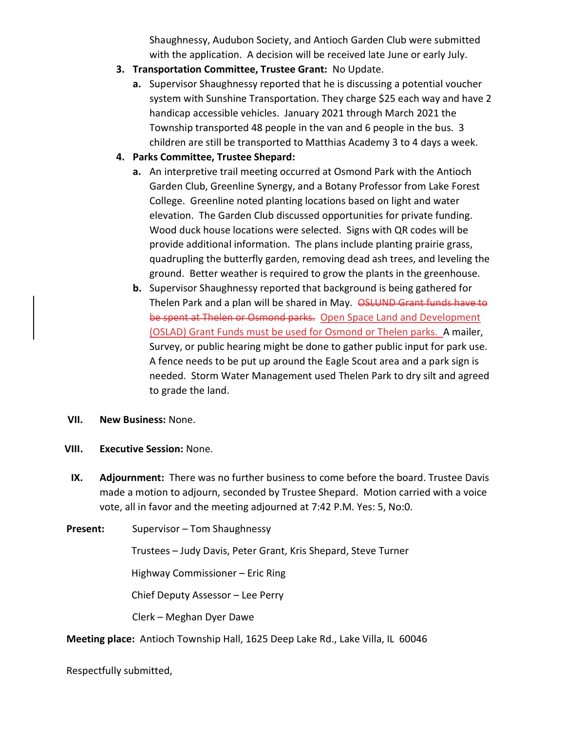Shaughnessy, Audubon Society, and Antioch Garden Club were submitted with the application. A decision will be received late June or early July.

- 3. Transportation Committee, Trustee Grant: No Update.
	- a. Supervisor Shaughnessy reported that he is discussing a potential voucher system with Sunshine Transportation. They charge \$25 each way and have 2 handicap accessible vehicles. January 2021 through March 2021 the Township transported 48 people in the van and 6 people in the bus. 3 children are still be transported to Matthias Academy 3 to 4 days a week.
- 4. Parks Committee, Trustee Shepard:
	- a. An interpretive trail meeting occurred at Osmond Park with the Antioch Garden Club, Greenline Synergy, and a Botany Professor from Lake Forest College. Greenline noted planting locations based on light and water elevation. The Garden Club discussed opportunities for private funding. Wood duck house locations were selected. Signs with QR codes will be provide additional information. The plans include planting prairie grass, quadrupling the butterfly garden, removing dead ash trees, and leveling the ground. Better weather is required to grow the plants in the greenhouse.
	- b. Supervisor Shaughnessy reported that background is being gathered for Thelen Park and a plan will be shared in May. OSLUND Grant funds have to be spent at Thelen or Osmond parks. Open Space Land and Development (OSLAD) Grant Funds must be used for Osmond or Thelen parks. A mailer, Survey, or public hearing might be done to gather public input for park use. A fence needs to be put up around the Eagle Scout area and a park sign is needed. Storm Water Management used Thelen Park to dry silt and agreed to grade the land.
- VII. New Business: None.
- VIII. Executive Session: None.
	- IX. Adjournment: There was no further business to come before the board. Trustee Davis made a motion to adjourn, seconded by Trustee Shepard. Motion carried with a voice vote, all in favor and the meeting adjourned at 7:42 P.M. Yes: 5, No:0.
- Present: Supervisor Tom Shaughnessy

Trustees – Judy Davis, Peter Grant, Kris Shepard, Steve Turner

Highway Commissioner – Eric Ring

Chief Deputy Assessor – Lee Perry

Clerk – Meghan Dyer Dawe

Meeting place: Antioch Township Hall, 1625 Deep Lake Rd., Lake Villa, IL 60046

Respectfully submitted,